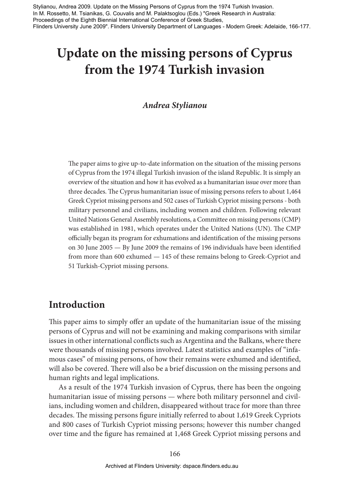Stylianou, Andrea 2009. Update on the Missing Persons of Cyprus from the 1974 Turkish Invasion. In M. Rossetto, M. Tsianikas, G. Couvalis and M. Palaktsoglou (Eds.) "Greek Research in Australia: Proceedings of the Eighth Biennial International Conference of Greek Studies, Flinders University June 2009". Flinders University Department of Languages - Modern Greek: Adelaide, 166-177.

# **Update on the missing persons of Cyprus from the 1974 Turkish invasion**

Andrea Stylianou

#### *Andrea Stylianou*

The paper aims to give up-to-date information on the situation of the missing persons of Cyprus from the 1974 illegal Turkish invasion of the island Republic. It is simply an overview of the situation and how it has evolved as a humanitarian issue over more than three decades. The Cyprus humanitarian issue of missing persons refers to about 1,464 Greek Cypriot missing persons and 502 cases of Turkish Cypriot missing persons - both military personnel and civilians, including women and children. Following relevant United Nations General Assembly resolutions, a Committee on missing persons (CMP) was established in 1981, which operates under the United Nations (UN). The CMP officially began its program for exhumations and identification of the missing persons on 30 June 2005 — By June 2009 the remains of 196 individuals have been identified from more than 600 exhumed — 145 of these remains belong to Greek-Cypriot and 51 Turkish-Cypriot missing persons.

#### **Introduction**

This paper aims to simply offer an update of the humanitarian issue of the missing persons of Cyprus and will not be examining and making comparisons with similar issues in other international conflicts such as Argentina and the Balkans, where there were thousands of missing persons involved. Latest statistics and examples of "infamous cases" of missing persons, of how their remains were exhumed and identified, will also be covered. There will also be a brief discussion on the missing persons and human rights and legal implications.

As a result of the 1974 Turkish invasion of Cyprus, there has been the ongoing humanitarian issue of missing persons — where both military personnel and civilians, including women and children, disappeared without trace for more than three decades. The missing persons figure initially referred to about 1,619 Greek Cypriots and 800 cases of Turkish Cypriot missing persons; however this number changed over time and the figure has remained at 1,468 Greek Cypriot missing persons and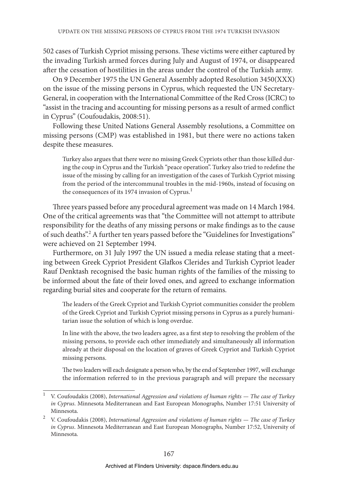502 cases of Turkish Cypriot missing persons. These victims were either captured by the invading Turkish armed forces during July and August of 1974, or disappeared after the cessation of hostilities in the areas under the control of the Turkish army.

On 9 December 1975 the UN General Assembly adopted Resolution 3450(XXX) on the issue of the missing persons in Cyprus, which requested the UN Secretary-General, in cooperation with the International Committee of the Red Cross (ICRC) to "assist in the tracing and accounting for missing persons as a result of armed conflict in Cyprus" (Coufoudakis, 2008:51).

Following these United Nations General Assembly resolutions, a Committee on missing persons (CMP) was established in 1981, but there were no actions taken despite these measures.

Turkey also argues that there were no missing Greek Cypriots other than those killed during the coup in Cyprus and the Turkish "peace operation". Turkey also tried to redefine the issue of the missing by calling for an investigation of the cases of Turkish Cypriot missing from the period of the intercommunal troubles in the mid-1960s, instead of focusing on the consequences of its 1974 invasion of Cyprus.<sup>1</sup>

Three years passed before any procedural agreement was made on 14 March 1984. One of the critical agreements was that "the Committee will not attempt to attribute responsibility for the deaths of any missing persons or make findings as to the cause of such deaths".<sup>2</sup> A further ten years passed before the "Guidelines for Investigations" were achieved on 21 September 1994.

Furthermore, on 31 July 1997 the UN issued a media release stating that a meeting between Greek Cypriot President Glafkos Clerides and Turkish Cypriot leader Rauf Denktash recognised the basic human rights of the families of the missing to be informed about the fate of their loved ones, and agreed to exchange information regarding burial sites and cooperate for the return of remains.

The leaders of the Greek Cypriot and Turkish Cypriot communities consider the problem of the Greek Cypriot and Turkish Cypriot missing persons in Cyprus as a purely humanitarian issue the solution of which is long overdue.

In line with the above, the two leaders agree, as a first step to resolving the problem of the missing persons, to provide each other immediately and simultaneously all information already at their disposal on the location of graves of Greek Cypriot and Turkish Cypriot missing persons.

The two leaders will each designate a person who, by the end of September 1997, will exchange the information referred to in the previous paragraph and will prepare the necessary

<sup>1</sup> V. Coufoudakis (2008), *International Aggression and violations of human rights — The case of Turkey in Cyprus*. Minnesota Mediterranean and East European Monographs, Number 17:51 University of Minnesota.

<sup>2</sup> V. Coufoudakis (2008), *International Aggression and violations of human rights — The case of Turkey in Cyprus*. Minnesota Mediterranean and East European Monographs, Number 17:52, University of Minnesota.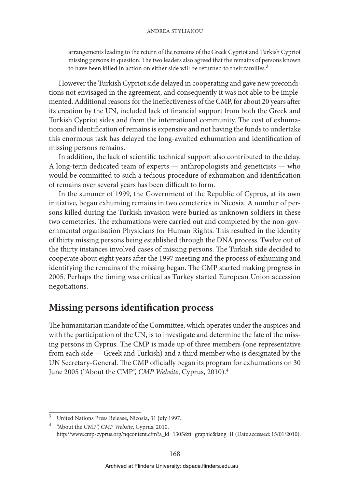#### Andrea Stylianou

arrangements leading to the return of the remains of the Greek Cypriot and Turkish Cypriot missing persons in question. The two leaders also agreed that the remains of persons known to have been killed in action on either side will be returned to their families.<sup>3</sup>

However the Turkish Cypriot side delayed in cooperating and gave new preconditions not envisaged in the agreement, and consequently it was not able to be implemented. Additional reasons for the ineffectiveness of the CMP, for about 20 years after its creation by the UN, included lack of financial support from both the Greek and Turkish Cypriot sides and from the international community. The cost of exhumations and identification of remains is expensive and not having the funds to undertake this enormous task has delayed the long-awaited exhumation and identification of missing persons remains.

In addition, the lack of scientific technical support also contributed to the delay. A long-term dedicated team of experts — anthropologists and geneticists — who would be committed to such a tedious procedure of exhumation and identification of remains over several years has been difficult to form.

In the summer of 1999, the Government of the Republic of Cyprus, at its own initiative, began exhuming remains in two cemeteries in Nicosia. A number of persons killed during the Turkish invasion were buried as unknown soldiers in these two cemeteries. The exhumations were carried out and completed by the non-governmental organisation Physicians for Human Rights. This resulted in the identity of thirty missing persons being established through the DNA process. Twelve out of the thirty instances involved cases of missing persons. The Turkish side decided to cooperate about eight years after the 1997 meeting and the process of exhuming and identifying the remains of the missing began. The CMP started making progress in 2005. Perhaps the timing was critical as Turkey started European Union accession negotiations.

### **Missing persons identification process**

The humanitarian mandate of the Committee, which operates under the auspices and with the participation of the UN, is to investigate and determine the fate of the missing persons in Cyprus. The CMP is made up of three members (one representative from each side — Greek and Turkish) and a third member who is designated by the UN Secretary-General. The CMP officially began its program for exhumations on 30 June 2005 ("About the CMP", *CMP Website*, Cyprus, 2010).4

<sup>3</sup> United Nations Press Release, Nicosia, 31 July 1997.

<sup>4</sup> "About the CMP", *CMP Website*, Cyprus, 2010. http://www.cmp-cyprus.org/nqcontent.cfm?a\_id=1305&tt=graphic&lang=l1 (Date accessed: 15/01/2010).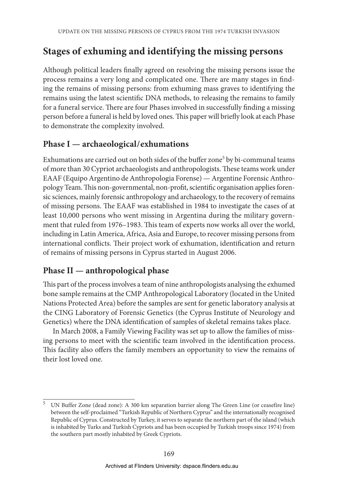## **Stages of exhuming and identifying the missing persons**

Although political leaders finally agreed on resolving the missing persons issue the process remains a very long and complicated one. There are many stages in finding the remains of missing persons: from exhuming mass graves to identifying the remains using the latest scientific DNA methods, to releasing the remains to family for a funeral service. There are four Phases involved in successfully finding a missing person before a funeral is held by loved ones. This paper will briefly look at each Phase to demonstrate the complexity involved.

#### **Phase I — archaeological/exhumations**

Exhumations are carried out on both sides of the buffer zone<sup>5</sup> by bi-communal teams of more than 30 Cypriot archaeologists and anthropologists. These teams work under EAAF (Equipo Argentino de Anthropologia Forense) — Argentine Forensic Anthropology Team. This non-governmental, non-profit, scientific organisation applies forensic sciences, mainly forensic anthropology and archaeology, to the recovery of remains of missing persons. The EAAF was established in 1984 to investigate the cases of at least 10,000 persons who went missing in Argentina during the military government that ruled from 1976–1983. This team of experts now works all over the world, including in Latin America, Africa, Asia and Europe, to recover missing persons from international conflicts. Their project work of exhumation, identification and return of remains of missing persons in Cyprus started in August 2006.

### **Phase II — anthropological phase**

This part of the process involves a team of nine anthropologists analysing the exhumed bone sample remains at the CMP Anthropological Laboratory (located in the United Nations Protected Area) before the samples are sent for genetic laboratory analysis at the CING Laboratory of Forensic Genetics (the Cyprus Institute of Neurology and Genetics) where the DNA identification of samples of skeletal remains takes place.

In March 2008, a Family Viewing Facility was set up to allow the families of missing persons to meet with the scientific team involved in the identification process. This facility also offers the family members an opportunity to view the remains of their lost loved one.

<sup>5</sup> UN Buffer Zone (dead zone): A 300 km separation barrier along The Green Line (or ceasefire line) between the self-proclaimed "Turkish Republic of Northern Cyprus" and the internationally recognised Republic of Cyprus. Constructed by Turkey, it serves to separate the northern part of the island (which is inhabited by Turks and Turkish Cypriots and has been occupied by Turkish troops since 1974) from the southern part mostly inhabited by Greek Cypriots.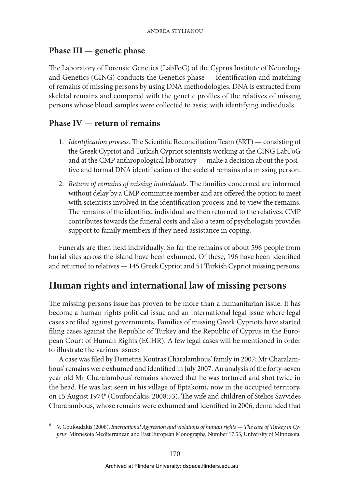#### **Phase III — genetic phase**

The Laboratory of Forensic Genetics (LabFoG) of the Cyprus Institute of Neurology and Genetics (CING) conducts the Genetics phase — identification and matching of remains of missing persons by using DNA methodologies. DNA is extracted from skeletal remains and compared with the genetic profiles of the relatives of missing persons whose blood samples were collected to assist with identifying individuals.

#### **Phase IV — return of remains**

- 1. *Identification process.* The Scientific Reconciliation Team (SRT) consisting of the Greek Cypriot and Turkish Cypriot scientists working at the CING LabFoG and at the CMP anthropological laboratory — make a decision about the positive and formal DNA identification of the skeletal remains of a missing person.
- 2. *Return of remains of missing individuals.* The families concerned are informed without delay by a CMP committee member and are offered the option to meet with scientists involved in the identification process and to view the remains. The remains of the identified individual are then returned to the relatives. CMP contributes towards the funeral costs and also a team of psychologists provides support to family members if they need assistance in coping.

Funerals are then held individually. So far the remains of about 596 people from burial sites across the island have been exhumed. Of these, 196 have been identified and returned to relatives — 145 Greek Cypriot and 51 Turkish Cypriot missing persons.

### **Human rights and international law of missing persons**

The missing persons issue has proven to be more than a humanitarian issue. It has become a human rights political issue and an international legal issue where legal cases are filed against governments. Families of missing Greek Cypriots have started filing cases against the Republic of Turkey and the Republic of Cyprus in the European Court of Human Rights (ECHR). A few legal cases will be mentioned in order to illustrate the various issues:

A case was filed by Demetris Koutras Charalambous' family in 2007; Mr Charalambous' remains were exhumed and identified in July 2007. An analysis of the forty-seven year old Mr Charalambous' remains showed that he was tortured and shot twice in the head. He was last seen in his village of Eptakomi, now in the occupied territory, on 15 August 1974<sup>6</sup> (Coufoudakis, 2008:53). The wife and children of Stelios Savvides Charalambous, whose remains were exhumed and identified in 2006, demanded that

<sup>6</sup> V. Coufoudakis (2008), *International Aggression and violations of human rights — The case of Turkey in Cyprus.* Minnesota Mediterranean and East European Monographs, Number 17:53, University of Minnesota.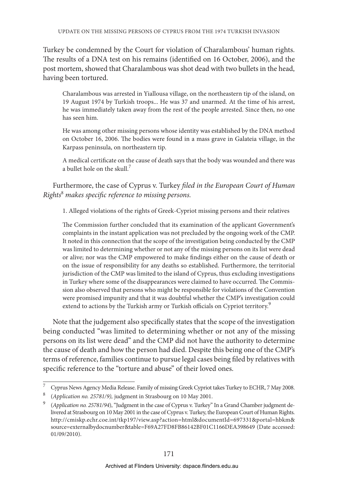Turkey be condemned by the Court for violation of Charalambous' human rights. The results of a DNA test on his remains (identified on 16 October, 2006), and the post mortem, showed that Charalambous was shot dead with two bullets in the head, having been tortured.

Charalambous was arrested in Yiallousa village, on the northeastern tip of the island, on 19 August 1974 by Turkish troops... He was 37 and unarmed. At the time of his arrest, he was immediately taken away from the rest of the people arrested. Since then, no one has seen him.

He was among other missing persons whose identity was established by the DNA method on October 16, 2006. The bodies were found in a mass grave in Galateia village, in the Karpass peninsula, on northeastern tip.

A medical certificate on the cause of death says that the body was wounded and there was a bullet hole on the skull.<sup>7</sup>

Furthermore, the case of Cyprus v. Turkey *filed in the European Court of Human Rights*<sup>8</sup>  *makes specific reference to missing persons.*

1. Alleged violations of the rights of Greek-Cypriot missing persons and their relatives

The Commission further concluded that its examination of the applicant Government's complaints in the instant application was not precluded by the ongoing work of the CMP. It noted in this connection that the scope of the investigation being conducted by the CMP was limited to determining whether or not any of the missing persons on its list were dead or alive; nor was the CMP empowered to make findings either on the cause of death or on the issue of responsibility for any deaths so established. Furthermore, the territorial jurisdiction of the CMP was limited to the island of Cyprus, thus excluding investigations in Turkey where some of the disappearances were claimed to have occurred. The Commission also observed that persons who might be responsible for violations of the Convention were promised impunity and that it was doubtful whether the CMP's investigation could extend to actions by the Turkish army or Turkish officials on Cypriot territory.<sup>9</sup>

Note that the judgement also specifically states that the scope of the investigation being conducted "was limited to determining whether or not any of the missing persons on its list were dead" and the CMP did not have the authority to determine the cause of death and how the person had died. Despite this being one of the CMP's terms of reference, families continue to pursue legal cases being filed by relatives with specific reference to the "torture and abuse" of their loved ones.

<sup>7</sup> Cyprus News Agency Media Release. Family of missing Greek Cypriot takes Turkey to ECHR, 7 May 2008.

<sup>8</sup> (*Application no. 25781/9),* judgment in Strasbourg on 10 May 2001.

<sup>9</sup> (*Application no. 25781/94*), "Judgment in the case of Cyprus v. Turkey" In a Grand Chamber judgment delivered at Strasbourg on 10 May 2001 in the case of Cyprus v. Turkey, the European Court of Human Rights. http://cmiskp.echr.coe.int/tkp197/view.asp?action=html&documentId=697331&portal=hbkm& source=externalbydocnumber&table=F69A27FD8FB86142BF01C1166DEA398649 (Date accessed: 01/09/2010).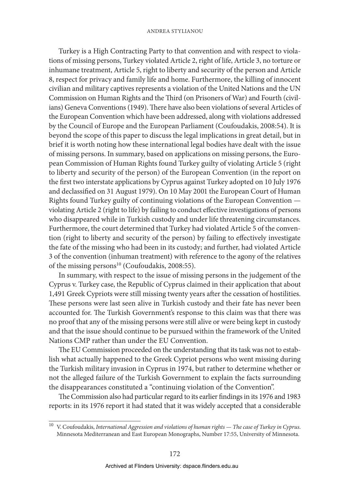#### Andrea Stylianou

Turkey is a High Contracting Party to that convention and with respect to violations of missing persons, Turkey violated Article 2, right of life, Article 3, no torture or inhumane treatment, Article 5, right to liberty and security of the person and Article 8, respect for privacy and family life and home. Furthermore, the killing of innocent civilian and military captives represents a violation of the United Nations and the UN Commission on Human Rights and the Third (on Prisoners of War) and Fourth (civilians) Geneva Conventions (1949). There have also been violations of several Articles of the European Convention which have been addressed, along with violations addressed by the Council of Europe and the European Parliament (Coufoudakis, 2008:54). It is beyond the scope of this paper to discuss the legal implications in great detail, but in brief it is worth noting how these international legal bodies have dealt with the issue of missing persons. In summary, based on applications on missing persons, the European Commission of Human Rights found Turkey guilty of violating Article 5 (right to liberty and security of the person) of the European Convention (in the report on the first two interstate applications by Cyprus against Turkey adopted on 10 July 1976 and declassified on 31 August 1979). On 10 May 2001 the European Court of Human Rights found Turkey guilty of continuing violations of the European Convention violating Article 2 (right to life) by failing to conduct effective investigations of persons who disappeared while in Turkish custody and under life threatening circumstances. Furthermore, the court determined that Turkey had violated Article 5 of the convention (right to liberty and security of the person) by failing to effectively investigate the fate of the missing who had been in its custody; and further, had violated Article 3 of the convention (inhuman treatment) with reference to the agony of the relatives of the missing persons<sup>10</sup> (Coufoudakis, 2008:55).

In summary, with respect to the issue of missing persons in the judgement of the Cyprus v. Turkey case, the Republic of Cyprus claimed in their application that about 1,491 Greek Cypriots were still missing twenty years after the cessation of hostilities. These persons were last seen alive in Turkish custody and their fate has never been accounted for. The Turkish Government's response to this claim was that there was no proof that any of the missing persons were still alive or were being kept in custody and that the issue should continue to be pursued within the framework of the United Nations CMP rather than under the EU Convention.

The EU Commission proceeded on the understanding that its task was not to establish what actually happened to the Greek Cypriot persons who went missing during the Turkish military invasion in Cyprus in 1974, but rather to determine whether or not the alleged failure of the Turkish Government to explain the facts surrounding the disappearances constituted a "continuing violation of the Convention".

The Commission also had particular regard to its earlier findings in its 1976 and 1983 reports: in its 1976 report it had stated that it was widely accepted that a considerable

<sup>10</sup> V. Coufoudakis, *International Aggression and violations of human rights — The case of Turkey in Cyprus*. Minnesota Mediterranean and East European Monographs, Number 17:55, University of Minnesota.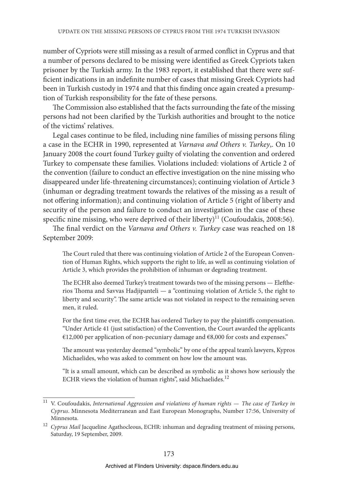number of Cypriots were still missing as a result of armed conflict in Cyprus and that a number of persons declared to be missing were identified as Greek Cypriots taken prisoner by the Turkish army. In the 1983 report, it established that there were sufficient indications in an indefinite number of cases that missing Greek Cypriots had been in Turkish custody in 1974 and that this finding once again created a presumption of Turkish responsibility for the fate of these persons.

The Commission also established that the facts surrounding the fate of the missing persons had not been clarified by the Turkish authorities and brought to the notice of the victims' relatives.

Legal cases continue to be filed, including nine families of missing persons filing a case in the ECHR in 1990, represented at *Varnava and Others v. Turkey*,. On 10 January 2008 the court found Turkey guilty of violating the convention and ordered Turkey to compensate these families. Violations included: violations of Article 2 of the convention (failure to conduct an effective investigation on the nine missing who disappeared under life-threatening circumstances); continuing violation of Article 3 (inhuman or degrading treatment towards the relatives of the missing as a result of not offering information); and continuing violation of Article 5 (right of liberty and security of the person and failure to conduct an investigation in the case of these specific nine missing, who were deprived of their liberty)<sup>11</sup> (Coufoudakis, 2008:56).

The final verdict on the *Varnava and Others v. Turkey* case was reached on 18 September 2009:

The Court ruled that there was continuing violation of Article 2 of the European Convention of Human Rights, which supports the right to life, as well as continuing violation of Article 3, which provides the prohibition of inhuman or degrading treatment.

The ECHR also deemed Turkey's treatment towards two of the missing persons — Eleftherios Thoma and Savvas Hadjipanteli — a "continuing violation of Article 5, the right to liberty and security". The same article was not violated in respect to the remaining seven men, it ruled.

For the first time ever, the ECHR has ordered Turkey to pay the plaintiffs compensation. "Under Article 41 (just satisfaction) of the Convention, the Court awarded the applicants €12,000 per application of non-pecuniary damage and €8,000 for costs and expenses."

The amount was yesterday deemed "symbolic" by one of the appeal team's lawyers, Kypros Michaelides, who was asked to comment on how low the amount was.

"It is a small amount, which can be described as symbolic as it shows how seriously the ECHR views the violation of human rights", said Michaelides.<sup>12</sup>

<sup>11</sup> V. Coufoudakis, *International Aggression and violations of human rights — The case of Turkey in Cyprus*. Minnesota Mediterranean and East European Monographs, Number 17:56, University of Minnesota.

<sup>12</sup> *Cyprus Mail* Jacqueline Agathocleous, ECHR: inhuman and degrading treatment of missing persons, Saturday, 19 September, 2009.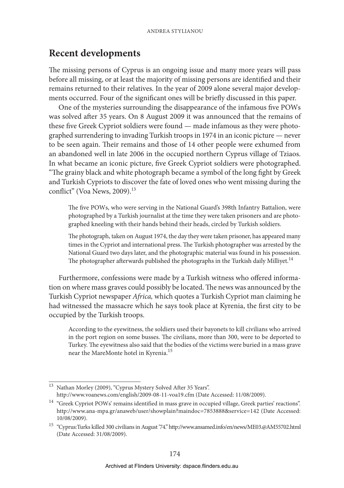#### **Recent developments**

The missing persons of Cyprus is an ongoing issue and many more years will pass before all missing, or at least the majority of missing persons are identified and their remains returned to their relatives. In the year of 2009 alone several major developments occurred. Four of the significant ones will be briefly discussed in this paper.

One of the mysteries surrounding the disappearance of the infamous five POWs was solved after 35 years. On 8 August 2009 it was announced that the remains of these five Greek Cypriot soldiers were found — made infamous as they were photographed surrendering to invading Turkish troops in 1974 in an iconic picture — never to be seen again. Their remains and those of 14 other people were exhumed from an abandoned well in late 2006 in the occupied northern Cyprus village of Tziaos. In what became an iconic picture, five Greek Cypriot soldiers were photographed. "The grainy black and white photograph became a symbol of the long fight by Greek and Turkish Cypriots to discover the fate of loved ones who went missing during the conflict" (Voa News, 2009).<sup>13</sup>

The five POWs, who were serving in the National Guard's 398th Infantry Battalion, were photographed by a Turkish journalist at the time they were taken prisoners and are photographed kneeling with their hands behind their heads, circled by Turkish soldiers.

The photograph, taken on August 1974, the day they were taken prisoner, has appeared many times in the Cypriot and international press. The Turkish photographer was arrested by the National Guard two days later, and the photographic material was found in his possession. The photographer afterwards published the photographs in the Turkish daily Milliyet.<sup>14</sup>

Furthermore, confessions were made by a Turkish witness who offered information on where mass graves could possibly be located. The news was announced by the Turkish Cypriot newspaper *Africa,* which quotes a Turkish Cypriot man claiming he had witnessed the massacre which he says took place at Kyrenia, the first city to be occupied by the Turkish troops.

According to the eyewitness, the soldiers used their bayonets to kill civilians who arrived in the port region on some busses. The civilians, more than 300, were to be deported to Turkey. The eyewitness also said that the bodies of the victims were buried in a mass grave near the MareMonte hotel in Kyrenia.<sup>15</sup>

<sup>&</sup>lt;sup>13</sup> Nathan Morley (2009), "Cyprus Mystery Solved After 35 Years". http://www.voanews.com/english/2009-08-11-voa19.cfm (Date Accessed: 11/08/2009).

<sup>&</sup>lt;sup>14</sup> "Greek Cypriot POWs' remains identified in mass grave in occupied village, Greek parties' reactions". http://www.ana-mpa.gr/anaweb/user/showplain?maindoc=7853888&service=142 (Date Accessed: 10/08/2009).

 $^{15}$  "Cyprus:Turks killed 300 civilians in August '74." http://www.ansamed.info/en/news/ME03.@AM55702.html (Date Accessed: 31/08/2009).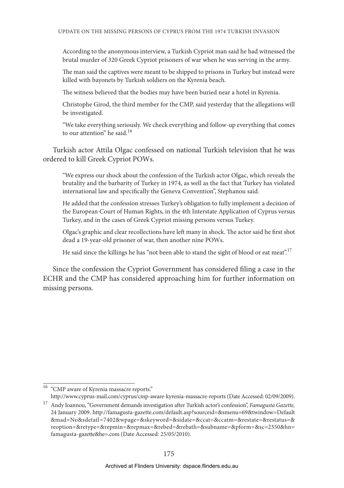According to the anonymous interview, a Turkish Cypriot man said he had witnessed the brutal murder of 320 Greek Cypriot prisoners of war when he was serving in the army.

The man said the captives were meant to be shipped to prisons in Turkey but instead were killed with bayonets by Turkish soldiers on the Kyrenia beach.

The witness believed that the bodies may have been buried near a hotel in Kyrenia.

Christophe Girod, the third member for the CMP, said yesterday that the allegations will be investigated.

"We take everything seriously. We check everything and follow-up everything that comes to our attention" he said.<sup>16</sup>

Turkish actor Attila Olgac confessed on national Turkish television that he was ordered to kill Greek Cypriot POWs.

"We express our shock about the confession of the Turkish actor Olgac, which reveals the brutality and the barbarity of Turkey in 1974, as well as the fact that Turkey has violated international law and specifically the Geneva Convention", Stephanou said.

He added that the confession stresses Turkey's obligation to fully implement a decision of the European Court of Human Rights, in the 4th Interstate Application of Cyprus versus Turkey, and in the cases of Greek Cypriot missing persons versus Turkey.

Olgac's graphic and clear recollections have left many in shock. The actor said he first shot dead a 19-year-old prisoner of war, then another nine POWs.

He said since the killings he has "not been able to stand the sight of blood or eat meat".<sup>17</sup>

Since the confession the Cypriot Government has considered filing a case in the ECHR and the CMP has considered approaching him for further information on missing persons.

<sup>&</sup>lt;sup>16</sup> "CMP aware of Kyrenia massacre reports."

http://www.cyprus-mail.com/cyprus/cmp-aware-kyrenia-massacre-reports (Date Accessed: 02/09/2009).

<sup>17</sup> Andy Ioannou, "Government demands investigation after Turkish actor's confession", *Famagusta Gazette,* 24 January 2009. http://famagusta-gazette.com/default.asp?sourceid=&smenu=69&twindow=Default &mad=No&sdetail=7402&wpage=&skeyword=&sidate=&ccat=&ccatm=&restate=&restatus=& reoption=&retype=&repmin=&repmax=&rebed=&rebath=&subname=&pform=&sc=2350&hn= famagusta-gazette&he=.com (Date Accessed: 25/05/2010).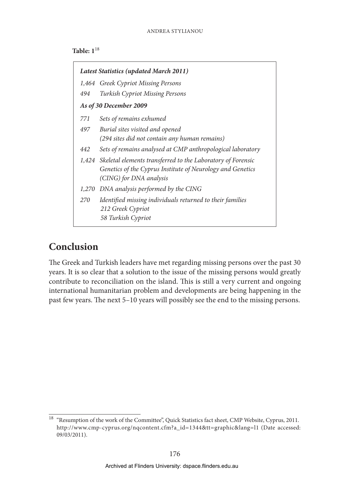**Table: 1**<sup>18</sup>

| Latest Statistics (updated March 2011) |                                                                                                                                                            |
|----------------------------------------|------------------------------------------------------------------------------------------------------------------------------------------------------------|
|                                        | 1,464 Greek Cypriot Missing Persons                                                                                                                        |
| 494                                    | <b>Turkish Cypriot Missing Persons</b>                                                                                                                     |
| As of 30 December 2009                 |                                                                                                                                                            |
| 771                                    | Sets of remains exhumed                                                                                                                                    |
| 497                                    | Burial sites visited and opened<br>(294 sites did not contain any human remains)                                                                           |
| 442                                    | Sets of remains analysed at CMP anthropological laboratory                                                                                                 |
|                                        | 1,424 Skeletal elements transferred to the Laboratory of Forensic<br>Genetics of the Cyprus Institute of Neurology and Genetics<br>(CING) for DNA analysis |
| 1,270                                  | DNA analysis performed by the CING                                                                                                                         |
| 270                                    | Identified missing individuals returned to their families<br>212 Greek Cypriot<br>58 Turkish Cypriot                                                       |

## **Conclusion**

The Greek and Turkish leaders have met regarding missing persons over the past 30 years. It is so clear that a solution to the issue of the missing persons would greatly contribute to reconciliation on the island. This is still a very current and ongoing international humanitarian problem and developments are being happening in the past few years. The next 5–10 years will possibly see the end to the missing persons.

<sup>&</sup>lt;sup>18</sup> "Resumption of the work of the Committee", Quick Statistics fact sheet, CMP Website, Cyprus, 2011. http://www.cmp-cyprus.org/nqcontent.cfm?a\_id=1344&tt=graphic&lang=l1 (Date accessed: 09/03/2011).